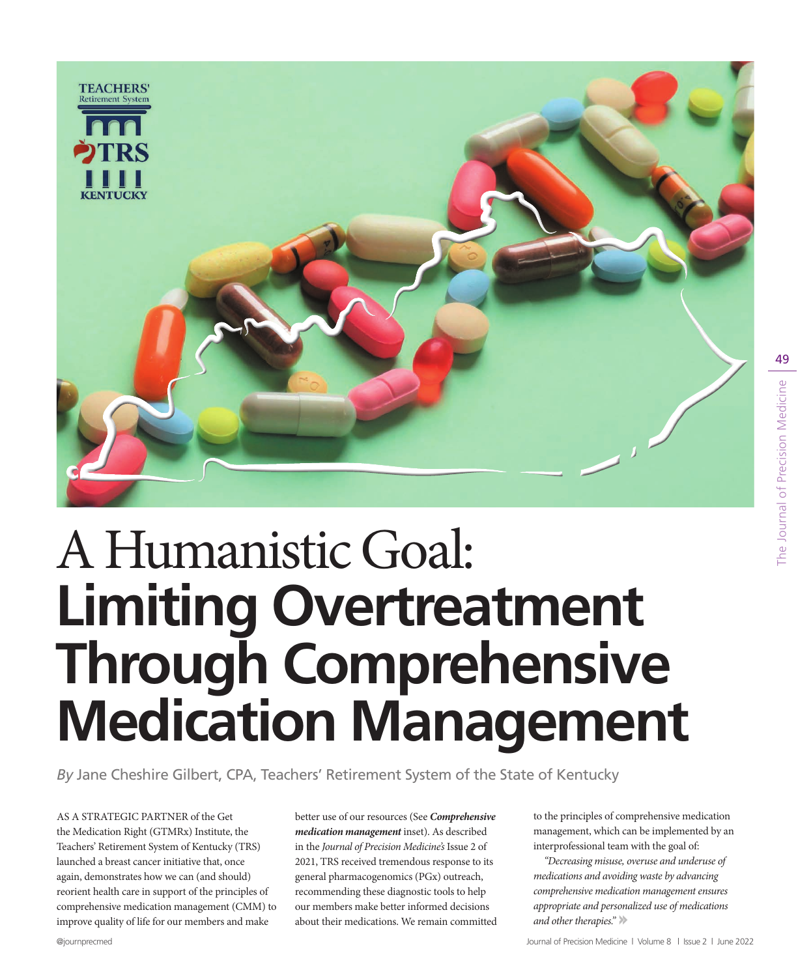

# A Humanistic Goal: **Limiting Overtreatment Through Comprehensive Medication Management**

*By* Jane Cheshire Gilbert, CPA, Teachers' Retirement System of the State of Kentucky

AS A STRATEGIC PARTNER of the Get the Medication Right (GTMRx) Institute, the Teachers' Retirement System of Kentucky (TRS) launched a breast cancer initiative that, once again, demonstrates how we can (and should) reorient health care in support of the principles of comprehensive medication management (CMM) to improve quality of life for our members and make

better use of our resources (See *Comprehensive medication management* inset). As described in the *Journal of Precision Medicine's* Issue 2 of 2021, TRS received tremendous response to its general pharmacogenomics (PGx) outreach, recommending these diagnostic tools to help our members make better informed decisions about their medications. We remain committed to the principles of comprehensive medication management, which can be implemented by an interprofessional team with the goal of:

*"Decreasing misuse, overuse and underuse of medications and avoiding waste by advancing comprehensive medication management ensures appropriate and personalized use of medications and other therapies."*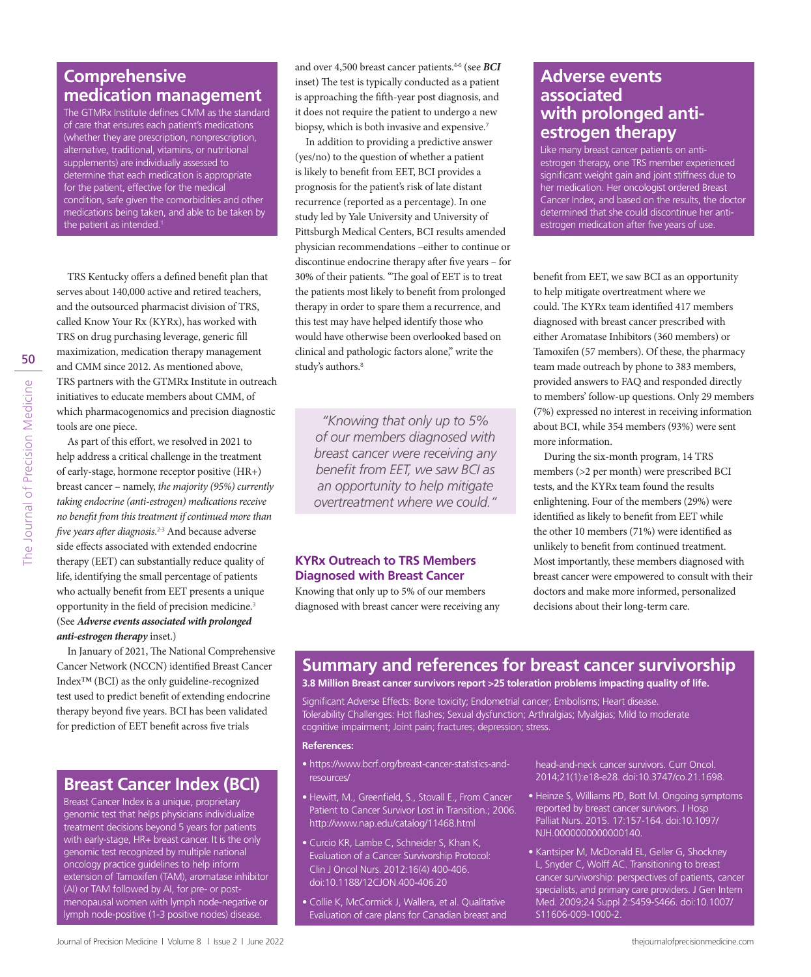## **Comprehensive medication management**

The GTMRx Institute defines CMM as the standard of care that ensures each patient's medications (whether they are prescription, nonprescription, alternative, traditional, vitamins, or nutritional supplements) are individually assessed to determine that each medication is appropriate for the patient, effective for the medical condition, safe given the comorbidities and other medications being taken, and able to be taken by the patient as intended.<sup>1</sup>

TRS Kentucky offers a defined benefit plan that serves about 140,000 active and retired teachers, and the outsourced pharmacist division of TRS, called Know Your Rx (KYRx), has worked with TRS on drug purchasing leverage, generic fill maximization, medication therapy management and CMM since 2012. As mentioned above, TRS partners with the GTMRx Institute in outreach initiatives to educate members about CMM, of which pharmacogenomics and precision diagnostic tools are one piece.

As part of this effort, we resolved in 2021 to help address a critical challenge in the treatment of early-stage, hormone receptor positive (HR+) breast cancer – namely, *the majority (95%) currently taking endocrine (anti-estrogen) medications receive no benefit from this treatment if continued more than five years after diagnosis*. 2-3 And because adverse side effects associated with extended endocrine therapy (EET) can substantially reduce quality of life, identifying the small percentage of patients who actually benefit from EET presents a unique opportunity in the field of precision medicine.<sup>3</sup> (See *Adverse events associated with prolonged anti‑estrogen therapy* inset.)

In January of 2021, The National Comprehensive Cancer Network (NCCN) identified Breast Cancer Index™ (BCI) as the only guideline-recognized test used to predict benefit of extending endocrine therapy beyond five years. BCI has been validated for prediction of EET benefit across five trials

### **Breast Cancer Index (BCI)**

Breast Cancer Index is a unique, proprietary genomic test that helps physicians individualize treatment decisions beyond 5 years for patients with early-stage, HR+ breast cancer. It is the only genomic test recognized by multiple national oncology practice guidelines to help inform extension of Tamoxifen (TAM), aromatase inhibitor (AI) or TAM followed by AI, for pre- or postmenopausal women with lymph node-negative or lymph node-positive (1-3 positive nodes) disease.

and over 4,500 breast cancer patients.4-6 (see *BCI* inset) The test is typically conducted as a patient is approaching the fifth-year post diagnosis, and it does not require the patient to undergo a new biopsy, which is both invasive and expensive.<sup>7</sup>

In addition to providing a predictive answer (yes/no) to the question of whether a patient is likely to benefit from EET, BCI provides a prognosis for the patient's risk of late distant recurrence (reported as a percentage). In one study led by Yale University and University of Pittsburgh Medical Centers, BCI results amended physician recommendations –either to continue or discontinue endocrine therapy after five years – for 30% of their patients. "The goal of EET is to treat the patients most likely to benefit from prolonged therapy in order to spare them a recurrence, and this test may have helped identify those who would have otherwise been overlooked based on clinical and pathologic factors alone," write the study's authors.<sup>8</sup>

*"Knowing that only up to 5% of our members diagnosed with breast cancer were receiving any benefit from EET, we saw BCI as an opportunity to help mitigate overtreatment where we could."*

#### **KYRx Outreach to TRS Members Diagnosed with Breast Cancer**

Knowing that only up to 5% of our members diagnosed with breast cancer were receiving any

## **Adverse events associated with prolonged antiestrogen therapy**

Like many breast cancer patients on antiestrogen therapy, one TRS member experienced significant weight gain and joint stiffness due to her medication. Her oncologist ordered Breast Cancer Index, and based on the results, the doctor determined that she could discontinue her antiestrogen medication after five years of use.

benefit from EET, we saw BCI as an opportunity to help mitigate overtreatment where we could. The KYRx team identified 417 members diagnosed with breast cancer prescribed with either Aromatase Inhibitors (360 members) or Tamoxifen (57 members). Of these, the pharmacy team made outreach by phone to 383 members, provided answers to FAQ and responded directly to members' follow-up questions. Only 29 members (7%) expressed no interest in receiving information about BCI, while 354 members (93%) were sent more information.

During the six-month program, 14 TRS members (>2 per month) were prescribed BCI tests, and the KYRx team found the results enlightening. Four of the members (29%) were identified as likely to benefit from EET while the other 10 members (71%) were identified as unlikely to benefit from continued treatment. Most importantly, these members diagnosed with breast cancer were empowered to consult with their doctors and make more informed, personalized decisions about their long-term care.

## **Summary and references for breast cancer survivorship**

**3.8 Million Breast cancer survivors report >25 toleration problems impacting quality of life.**

Significant Adverse Effects: Bone toxicity; Endometrial cancer; Embolisms; Heart disease. Tolerability Challenges: Hot flashes; Sexual dysfunction; Arthralgias; Myalgias; Mild to moderate cognitive impairment; Joint pain; fractures; depression; stress.

#### **References:**

- https://www.bcrf.org/breast-cancer-statistics-andresources/
- Hewitt, M., Greenfield, S., Stovall E., From Cancer Patient to Cancer Survivor Lost in Transition.; 2006. http://www.nap.edu/catalog/11468.html
- Curcio KR, Lambe C, Schneider S, Khan K, Evaluation of a Cancer Survivorship Protocol: Clin J Oncol Nurs. 2012:16(4) 400-406. doi:10.1188/12CJON.400-406.20
- Collie K, McCormick J, Wallera, et al. Qualitative Evaluation of care plans for Canadian breast and

head-and-neck cancer survivors. Curr Oncol. 2014;21(1):e18-e28. doi:10.3747/co.21.1698.

- Heinze S, Williams PD, Bott M. Ongoing symptoms reported by breast cancer survivors. J Hosp Palliat Nurs. 2015. 17:157-164. doi:10.1097/ NJH.0000000000000140.
- Kantsiper M, McDonald EL, Geller G, Shockney L, Snyder C, Wolff AC. Transitioning to breast cancer survivorship: perspectives of patients, cancer specialists, and primary care providers. J Gen Intern Med. 2009;24 Suppl 2:S459-S466. doi:10.1007/ S11606-009-1000-2.